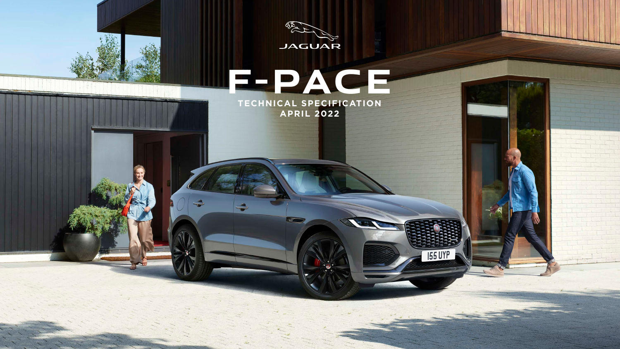

**APRIL 2022**

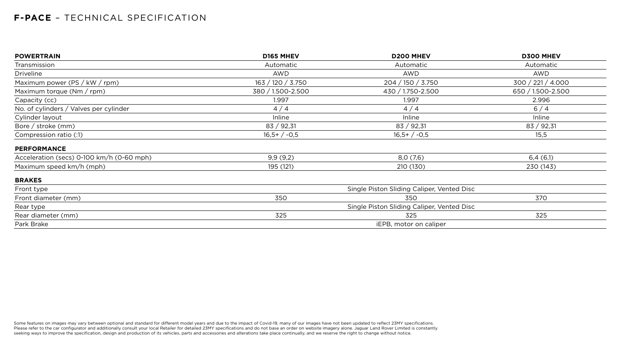| <b>POWERTRAIN</b>                         | D165 MHEV         | <b>D200 MHEV</b>                           | <b>D300 MHEV</b>  |
|-------------------------------------------|-------------------|--------------------------------------------|-------------------|
| Transmission                              | Automatic         | Automatic                                  | Automatic         |
| <b>Driveline</b>                          | <b>AWD</b>        | <b>AWD</b>                                 | <b>AWD</b>        |
| Maximum power (PS / kW / rpm)             | 163 / 120 / 3.750 | 204 / 150 / 3.750                          | 300 / 221 / 4.000 |
| Maximum torque $(Nm / rpm)$               | 380 / 1.500-2.500 | 430 / 1.750-2.500                          | 650 / 1.500-2.500 |
| Capacity (cc)                             | 1.997             | 1.997                                      | 2.996             |
| No. of cylinders / Valves per cylinder    | 4/4               | 4/4                                        | 6/4               |
| Cylinder layout                           | Inline            | Inline                                     | Inline            |
| Bore / stroke (mm)                        | 83 / 92,31        | 83 / 92,31                                 | 83 / 92,31        |
| Compression ratio (:1)                    | $16,5+/-0,5$      | $16,5+/-0,5$                               | 15,5              |
| <b>PERFORMANCE</b>                        |                   |                                            |                   |
| Acceleration (secs) 0-100 km/h (0-60 mph) | 9,9(9,2)          | 8,0(7,6)                                   | 6,4(6,1)          |
| Maximum speed km/h (mph)                  | 195 (121)         | 210 (130)                                  | 230 (143)         |
| <b>BRAKES</b>                             |                   |                                            |                   |
| Front type                                |                   | Single Piston Sliding Caliper, Vented Disc |                   |
| Front diameter (mm)                       | 350               | 350                                        | 370               |
| Rear type                                 |                   | Single Piston Sliding Caliper, Vented Disc |                   |
| Rear diameter (mm)                        | 325               | 325                                        | 325               |
| Park Brake                                |                   | <b>iEPB, motor on caliper</b>              |                   |
|                                           |                   |                                            |                   |

Some features on images may vary between optional and standard for different model years and due to the impact of Covid-19, many of our images have not been updated to reflect 23MY specifications. Please refer to the car configurator and additionally consult your local Retailer for detailed 23MY specifications and do not base an order on website imagery alone. Jaguar Land Rover Limited is constantly seeking ways to improve the specification, design and production of its vehicles, parts and accessories and alterations take place continually, and we reserve the right to change without notice.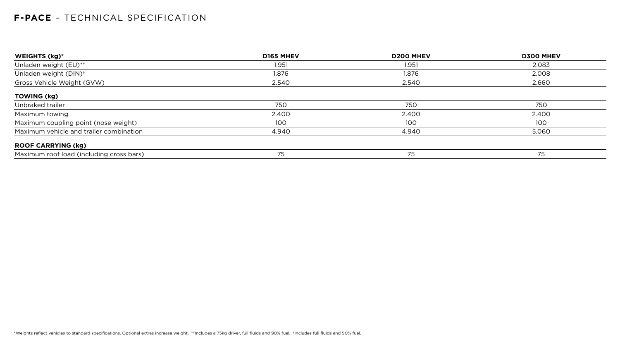| D165 MHEV | <b>D200 MHEV</b> | <b>D300 MHEV</b> |
|-----------|------------------|------------------|
| 1.951     | 1.951            | 2.083            |
| 1.876     | 1.876            | 2.008            |
| 2.540     | 2.540            | 2.660            |
|           |                  |                  |
| 750       | 750              | 750              |
| 2.400     | 2.400            | 2.400            |
| 100       | 100              | 100              |
| 4.940     | 4.940            | 5.060            |
|           |                  |                  |
| 75        | 75               | 75               |
|           |                  |                  |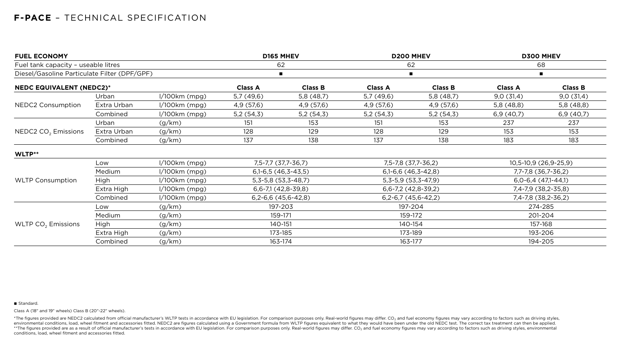| <b>FUEL ECONOMY</b>                          |             | D165 MHEV       |                     | <b>D200 MHEV</b>              |                       | <b>D300 MHEV</b>        |                     |                       |  |
|----------------------------------------------|-------------|-----------------|---------------------|-------------------------------|-----------------------|-------------------------|---------------------|-----------------------|--|
| Fuel tank capacity - useable litres          |             |                 | 62                  |                               |                       | 62                      |                     | 68                    |  |
| Diesel/Gasoline Particulate Filter (DPF/GPF) |             |                 | л                   |                               |                       | $\blacksquare$          | $\blacksquare$      |                       |  |
| <b>NEDC EQUIVALENT (NEDC2)*</b>              |             |                 | <b>Class A</b>      | <b>Class B</b>                | <b>Class A</b>        | <b>Class B</b>          | <b>Class A</b>      | <b>Class B</b>        |  |
|                                              | Urban       | $1/100km$ (mpg) | 5,7(49,6)           | 5,8(48,7)                     | 5,7(49,6)             | 5,8(48,7)               | 9,0(31,4)           | 9,0(31,4)             |  |
| <b>NEDC2 Consumption</b>                     | Extra Urban | $1/100km$ (mpg) | 4,9 (57,6)          | 4,9(57,6)                     | 4,9 (57,6)            | 4,9(57,6)               | 5,8 (48,8)          | 5,8 (48,8)            |  |
|                                              | Combined    | $1/100km$ (mpg) | 5,2(54,3)           | 5,2(54,3)                     | 5,2(54,3)             | 5,2(54,3)               | 6,9(40,7)           | 6,9(40,7)             |  |
|                                              | Urban       | (g/km)          | 151                 | 153                           | 151                   | 153                     | 237                 | 237                   |  |
| NEDC2 CO <sub>2</sub> Emissions              | Extra Urban | (g/km)          | 128                 | 129                           | 128                   | 129                     | 153                 | 153                   |  |
|                                              | Combined    | (g/km)          | 137                 | 138                           | 137                   | 138                     | 183                 | 183                   |  |
| WLTP**                                       |             |                 |                     |                               |                       |                         |                     |                       |  |
|                                              | Low         | $1/100km$ (mpg) | 7,5-7,7 (37,7-36,7) |                               | 7,5-7,8 (37,7-36,2)   |                         |                     | 10,5-10,9 (26,9-25,9) |  |
|                                              | Medium      | $1/100km$ (mpg) |                     | $6,1-6,5(46,3-43,5)$          |                       | $6,1-6,6$ $(46,3-42,8)$ |                     | 7,7-7,8 (36,7-36,2)   |  |
| <b>WLTP Consumption</b>                      | High        | $1/100km$ (mpg) |                     | $5, 3 - 5, 8$ (53, 3 - 48, 7) |                       | $5,3-5,9(53,3-47,9)$    |                     | $6,0-6,4(47,1-44,1)$  |  |
|                                              | Extra High  | $1/100km$ (mpg) |                     | $6,6-7,1(42,8-39,8)$          | $6,6-7,2(42,8-39,2)$  |                         | 7,4-7,9 (38,2-35,8) |                       |  |
|                                              | Combined    | $1/100km$ (mpg) |                     | $6,2-6,6$ (45,6-42,8)         | $6,2-6,7$ (45,6-42,2) |                         | 7,4-7,8 (38,2-36,2) |                       |  |
|                                              | Low         | (g/km)          |                     | 197-203                       | 197-204               |                         |                     | 274-285               |  |
|                                              | Medium      | (g/km)          |                     | 159-171                       |                       | 159-172                 |                     | 201-204               |  |
| WLTP $CO2$ Emissions                         | High        | (g/km)          |                     | 140-151                       | 140-154               |                         |                     | 157-168               |  |
|                                              | Extra High  | (g/km)          |                     | 173-185                       |                       | 173-189                 |                     | 193-206               |  |
|                                              | Combined    | (g/km)          |                     | 163-174                       |                       | 163-177                 | 194-205             |                       |  |

#### ■ Standard.

\*The figures provided are NEDC2 calculated from official manufacturer's WLTP tests in accordance with EU legislation. For comparison purposes only. Real-world figures may differ. CO<sub>2</sub> and fuel economy figures may vary acc environmental conditions, load, wheel fitment and accessories fitted. NEDC2 are figures calculated using a Government formula from WLTP figures equivalent to what they would have been under the old NEDC test. The correct t \*\*The figures provided are as a result of official manufacturer's tests in accordance with EU legislation. For comparison purposes only. Real-world figures may differ. CO<sub>2</sub> and fuel economy figures may vary according to f conditions, load, wheel fitment and accessories fitted.

Class A (18" and 19" wheels) Class B (20"-22" wheels).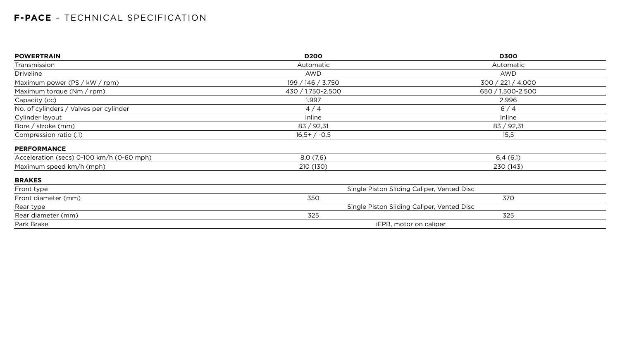| <b>POWERTRAIN</b>                         | <b>D200</b>          | <b>D300</b>                                |
|-------------------------------------------|----------------------|--------------------------------------------|
| Transmission                              | Automatic            | Automatic                                  |
| <b>Driveline</b>                          | <b>AWD</b>           | AWD                                        |
| Maximum power (PS / kW / rpm)             | 199 / 146 / 3.750    | 300 / 221 / 4.000                          |
| Maximum torque (Nm / rpm)                 | 430 / 1.750-2.500    | 650 / 1.500-2.500                          |
| Capacity (cc)                             | 1.997                | 2.996                                      |
| No. of cylinders / Valves per cylinder    | 4/4                  | 6/4                                        |
| Cylinder layout                           | Inline               | Inline                                     |
| Bore / stroke $(mm)$                      | 83 / 92,31           | 83 / 92,31                                 |
| Compression ratio (:1)                    | $16,5+/-0,5$<br>15,5 |                                            |
| <b>PERFORMANCE</b>                        |                      |                                            |
| Acceleration (secs) 0-100 km/h (0-60 mph) | 8,0(7,6)             | 6,4(6,1)                                   |
| Maximum speed km/h (mph)                  | 210 (130)            | 230 (143)                                  |
| <b>BRAKES</b>                             |                      |                                            |
| Front type                                |                      | Single Piston Sliding Caliper, Vented Disc |
| Front diameter (mm)                       | 350                  | 370                                        |
| Rear type                                 |                      | Single Piston Sliding Caliper, Vented Disc |
| Rear diameter (mm)                        | 325                  | 325                                        |
| Park Brake                                |                      | iEPB, motor on caliper                     |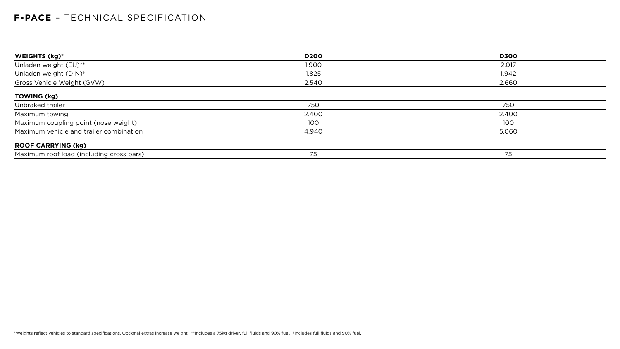| WEIGHTS (kg)*                            | <b>D200</b> | <b>D300</b> |
|------------------------------------------|-------------|-------------|
| Unladen weight (EU)**                    | 1.900       | 2.017       |
| Unladen weight (DIN) <sup>+</sup>        | 1.825       | 1.942       |
| Gross Vehicle Weight (GVW)               | 2.540       | 2.660       |
| <b>TOWING (kg)</b>                       |             |             |
| Unbraked trailer                         | 750         | 750         |
| Maximum towing                           | 2.400       | 2.400       |
| Maximum coupling point (nose weight)     | 100         | 100         |
| Maximum vehicle and trailer combination  | 4.940       | 5.060       |
| <b>ROOF CARRYING (kg)</b>                |             |             |
| Maximum roof load (including cross bars) | 75          | 75          |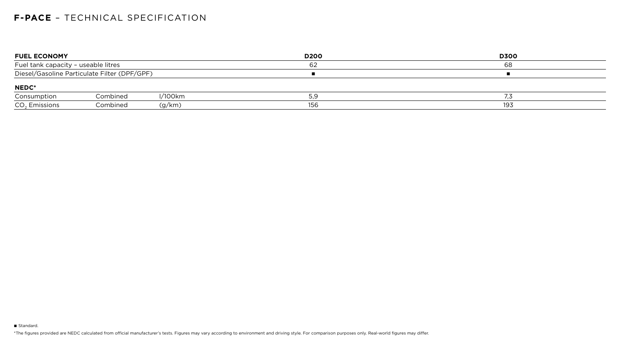| <b>FUEL ECONOMY</b>                 |                                              |            | <b>D200</b> | <b>D300</b> |
|-------------------------------------|----------------------------------------------|------------|-------------|-------------|
| Fuel tank capacity - useable litres |                                              |            | 62          | 68          |
|                                     | Diesel/Gasoline Particulate Filter (DPF/GPF) |            |             |             |
| <b>NEDC*</b>                        |                                              |            |             |             |
| Consumption                         | Combined                                     | $1/100$ km | 59<br>ت, ب  | 7,3         |
| $CO2$ Emissions                     | Combined                                     | (g/km)     | 156         | 193         |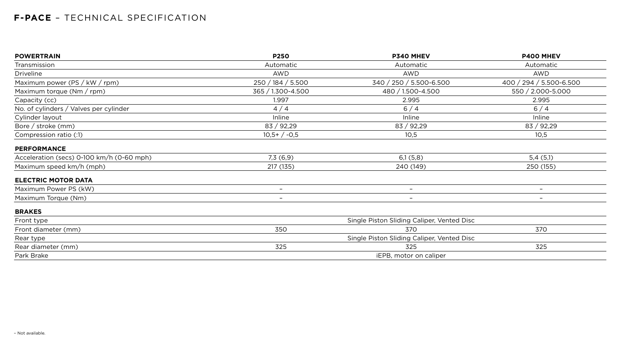| <b>POWERTRAIN</b>                         | <b>P250</b>       | P340 MHEV                                  | <b>P400 MHEV</b>         |
|-------------------------------------------|-------------------|--------------------------------------------|--------------------------|
| Transmission                              | Automatic         | Automatic                                  | Automatic                |
| <b>Driveline</b>                          | <b>AWD</b>        | <b>AWD</b>                                 | <b>AWD</b>               |
| Maximum power (PS / kW / rpm)             | 250 / 184 / 5.500 | 340 / 250 / 5.500-6.500                    | 400 / 294 / 5.500-6.500  |
| Maximum torque $(Nm / rpm)$               | 365 / 1.300-4.500 | 480 / 1.500-4.500                          | 550 / 2.000-5.000        |
| Capacity (cc)                             | 1.997             | 2.995                                      | 2.995                    |
| No. of cylinders / Valves per cylinder    | 4/4               | 6/4                                        | 6/4                      |
| Cylinder layout                           | Inline            | <b>Inline</b>                              | Inline                   |
| Bore / stroke (mm)                        | 83 / 92,29        | 83 / 92,29                                 | 83 / 92,29               |
| Compression ratio (:1)                    | $10,5+/-0,5$      | 10,5                                       | 10,5                     |
| <b>PERFORMANCE</b>                        |                   |                                            |                          |
| Acceleration (secs) 0-100 km/h (0-60 mph) | 7,3(6,9)          | 6,1(5,8)                                   | 5,4(5,1)                 |
| Maximum speed km/h (mph)                  | 217 (135)         | 240 (149)                                  | 250 (155)                |
| <b>ELECTRIC MOTOR DATA</b>                |                   |                                            |                          |
| Maximum Power PS (kW)                     | $-$               | $\overline{\phantom{m}}$                   | $\overline{\phantom{a}}$ |
| Maximum Torque (Nm)                       |                   | $\overline{\phantom{a}}$                   | $\overline{\phantom{a}}$ |
| <b>BRAKES</b>                             |                   |                                            |                          |
| Front type                                |                   | Single Piston Sliding Caliper, Vented Disc |                          |
| Front diameter (mm)                       | 350               | 370                                        | 370                      |
| Rear type                                 |                   | Single Piston Sliding Caliper, Vented Disc |                          |
| Rear diameter (mm)                        | 325               | 325                                        | 325                      |
| Park Brake                                |                   | iEPB, motor on caliper                     |                          |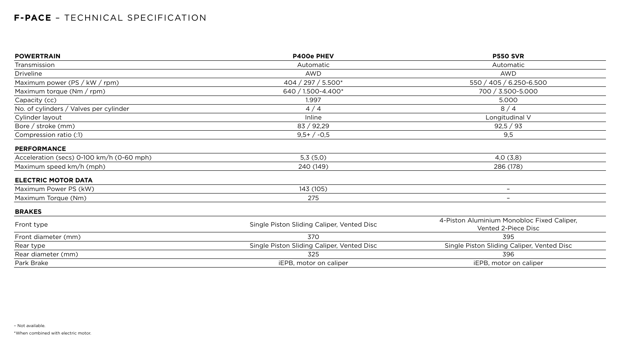| <b>POWERTRAIN</b>                         | <b>P400e PHEV</b>                          | <b>P550 SVR</b>                                                   |  |  |
|-------------------------------------------|--------------------------------------------|-------------------------------------------------------------------|--|--|
| Transmission                              | Automatic                                  | Automatic                                                         |  |  |
| <b>Driveline</b>                          | <b>AWD</b>                                 | <b>AWD</b>                                                        |  |  |
| Maximum power (PS / kW / rpm)             | 404 / 297 / 5.500*                         | 550 / 405 / 6.250-6.500                                           |  |  |
| Maximum torque (Nm / rpm)                 | 640 / 1.500-4.400*                         | 700 / 3.500-5.000                                                 |  |  |
| Capacity (cc)                             | 1.997                                      | 5.000                                                             |  |  |
| No. of cylinders / Valves per cylinder    | 4/4                                        | 8/4                                                               |  |  |
| Cylinder layout                           | Inline                                     | Longitudinal V                                                    |  |  |
| Bore / stroke $(mm)$                      | 83 / 92,29                                 | 92,5 / 93                                                         |  |  |
| Compression ratio (:1)                    | $9,5+/-0,5$                                | 9,5                                                               |  |  |
| <b>PERFORMANCE</b>                        |                                            |                                                                   |  |  |
| Acceleration (secs) 0-100 km/h (0-60 mph) | 5,3(5,0)                                   | 4,0(3,8)                                                          |  |  |
| Maximum speed km/h (mph)                  | 240 (149)                                  | 286 (178)                                                         |  |  |
| <b>ELECTRIC MOTOR DATA</b>                |                                            |                                                                   |  |  |
| Maximum Power PS (kW)                     | 143 (105)                                  | $ \,$                                                             |  |  |
| Maximum Torque (Nm)                       | 275                                        | $\overline{\phantom{m}}$                                          |  |  |
| <b>BRAKES</b>                             |                                            |                                                                   |  |  |
| Front type                                | Single Piston Sliding Caliper, Vented Disc | 4-Piston Aluminium Monobloc Fixed Caliper,<br>Vented 2-Piece Disc |  |  |
| Front diameter (mm)                       | 370                                        | 395                                                               |  |  |
| Rear type                                 | Single Piston Sliding Caliper, Vented Disc | Single Piston Sliding Caliper, Vented Disc                        |  |  |
| Rear diameter (mm)                        | 325                                        | 396                                                               |  |  |
| Park Brake                                | iEPB, motor on caliper                     | iEPB, motor on caliper                                            |  |  |

\*When combined with electric motor.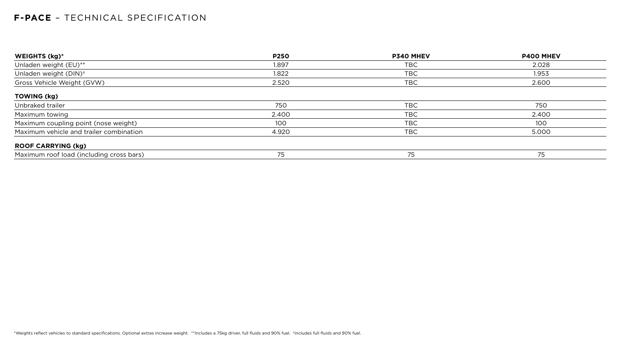| <b>WEIGHTS (kg)*</b>                     | <b>P250</b> | <b>P340 MHEV</b> | <b>P400 MHEV</b> |
|------------------------------------------|-------------|------------------|------------------|
| Unladen weight (EU)**                    | 1.897       | TBC              | 2.028            |
| Unladen weight (DIN) <sup>+</sup>        | 1.822       | TBC              | 1.953            |
| Gross Vehicle Weight (GVW)               | 2.520       | TBC              | 2.600            |
| <b>TOWING (kg)</b>                       |             |                  |                  |
| Unbraked trailer                         | 750         | <b>TBC</b>       | 750              |
| Maximum towing                           | 2.400       | <b>TBC</b>       | 2.400            |
| Maximum coupling point (nose weight)     | 100         | TBC              | 100              |
| Maximum vehicle and trailer combination  | 4.920       | <b>TBC</b>       | 5.000            |
| <b>ROOF CARRYING (kg)</b>                |             |                  |                  |
| Maximum roof load (including cross bars) | 75          | 75               | 75               |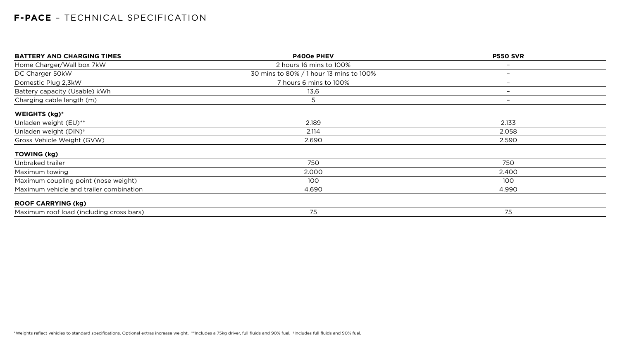| <b>BATTERY AND CHARGING TIMES</b>        | <b>P400e PHEV</b>                       | <b>P550 SVR</b>          |  |
|------------------------------------------|-----------------------------------------|--------------------------|--|
| Home Charger/Wall box 7kW                | 2 hours 16 mins to 100%                 | $\overline{\phantom{a}}$ |  |
| DC Charger 50kW                          | 30 mins to 80% / 1 hour 13 mins to 100% | $\overline{\phantom{0}}$ |  |
| Domestic Plug 2,3kW                      | 7 hours 6 mins to 100%                  | $\overline{\phantom{0}}$ |  |
| Battery capacity (Usable) kWh            | 13,6                                    | $\overline{\phantom{0}}$ |  |
| Charging cable length (m)                | 5                                       | $\overline{\phantom{0}}$ |  |
| <b>WEIGHTS (kg)*</b>                     |                                         |                          |  |
| Unladen weight (EU)**                    | 2.189                                   | 2.133                    |  |
| Unladen weight (DIN) <sup>+</sup>        | 2.114                                   | 2.058                    |  |
| Gross Vehicle Weight (GVW)               | 2.690                                   | 2.590                    |  |
| <b>TOWING (kg)</b>                       |                                         |                          |  |
| Unbraked trailer                         | 750                                     | 750                      |  |
| Maximum towing                           | 2.000                                   | 2.400                    |  |
| Maximum coupling point (nose weight)     | 100                                     | 100                      |  |
| Maximum vehicle and trailer combination  | 4.690                                   | 4.990                    |  |
| <b>ROOF CARRYING (kg)</b>                |                                         |                          |  |
| Maximum roof load (including cross bars) | 75                                      | 75                       |  |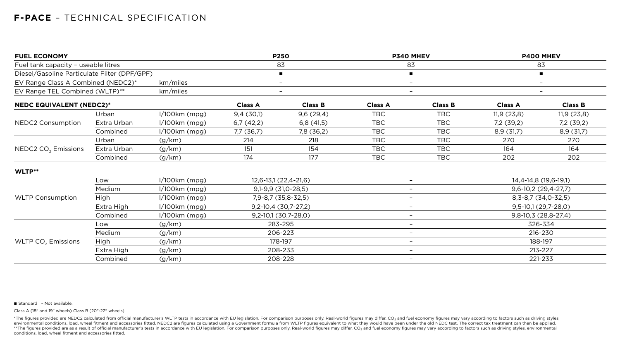| <b>FUEL ECONOMY</b>                                                                                                                            |             | <b>P250</b>     |                       | P340 MHEV                |                          | <b>P400 MHEV</b>         |                       |                          |
|------------------------------------------------------------------------------------------------------------------------------------------------|-------------|-----------------|-----------------------|--------------------------|--------------------------|--------------------------|-----------------------|--------------------------|
|                                                                                                                                                |             |                 | 83                    |                          | 83                       |                          | 83                    |                          |
|                                                                                                                                                |             |                 |                       | $\blacksquare$           |                          | $\blacksquare$           |                       | $\blacksquare$           |
| km/miles<br>EV Range Class A Combined (NEDC2)*                                                                                                 |             |                 |                       | $\overline{\phantom{0}}$ |                          | $\overline{\phantom{0}}$ |                       | $\overline{\phantom{m}}$ |
| EV Range TEL Combined (WLTP)**                                                                                                                 |             | km/miles        |                       | $\qquad \qquad -$        |                          | $-$                      |                       | $\overline{\phantom{m}}$ |
|                                                                                                                                                |             |                 | <b>Class A</b>        | <b>Class B</b>           | <b>Class A</b>           | <b>Class B</b>           | <b>Class A</b>        | <b>Class B</b>           |
|                                                                                                                                                | Urban       | $1/100km$ (mpg) | 9,4(30,1)             | 9,6(29,4)                | <b>TBC</b>               | <b>TBC</b>               | 11,9(23,8)            | 11,9(23,8)               |
| NEDC2 Consumption                                                                                                                              | Extra Urban | $1/100km$ (mpg) | 6,7(42,2)             | 6,8(41,5)                | <b>TBC</b>               | <b>TBC</b>               | 7,2(39,2)             | 7,2 (39,2)               |
|                                                                                                                                                | Combined    | $1/100km$ (mpg) | 7,7 (36,7)            | 7,8 (36,2)               | <b>TBC</b>               | <b>TBC</b>               | 8,9(31,7)             | 8,9(31,7)                |
|                                                                                                                                                | Urban       | (g/km)          | 214                   | 218                      | <b>TBC</b>               | <b>TBC</b>               | 270                   | 270                      |
| NEDC2 CO <sub>2</sub> Emissions                                                                                                                | Extra Urban | (g/km)          | 151                   | 154                      | <b>TBC</b>               | <b>TBC</b>               | 164                   | 164                      |
|                                                                                                                                                | Combined    | (g/km)          | 174                   | 177                      | <b>TBC</b>               | <b>TBC</b>               | 202                   | 202                      |
| WLTP**                                                                                                                                         |             |                 |                       |                          |                          |                          |                       |                          |
|                                                                                                                                                | Low         | $1/100km$ (mpg) | 12,6-13,1 (22,4-21,6) |                          | $-$                      |                          |                       | 14,4-14,8 (19,6-19,1)    |
|                                                                                                                                                | Medium      | $1/100km$ (mpg) |                       | $9,1-9,9$ (31,0-28,5)    | $\overline{\phantom{m}}$ |                          | $9,6-10,2(29,4-27,7)$ |                          |
| <b>WLTP Consumption</b>                                                                                                                        | <b>High</b> | $1/100km$ (mpg) |                       | 7,9-8,7 (35,8-32,5)      |                          | $\overline{\phantom{m}}$ |                       | 8, 3-8, 7 (34, 0-32, 5)  |
|                                                                                                                                                | Extra High  | $1/100km$ (mpg) |                       | $9,2-10,4(30,7-27,2)$    | $\overline{\phantom{m}}$ |                          | $9,5-10,1(29,7-28,0)$ |                          |
|                                                                                                                                                | Combined    | $1/100km$ (mpg) |                       | $9,2-10,1(30,7-28,0)$    | $\overline{\phantom{m}}$ |                          | 9,8-10,3 (28,8-27,4)  |                          |
|                                                                                                                                                | Low         | (g/km)          |                       | 283-295                  | $\qquad \qquad -$        |                          | 326-334               |                          |
|                                                                                                                                                | Medium      | (g/km)          |                       | 206-223                  | $-$                      |                          |                       | 216-230                  |
| Fuel tank capacity - useable litres<br>Diesel/Gasoline Particulate Filter (DPF/GPF)<br><b>NEDC EQUIVALENT (NEDC2)*</b><br>WLTP $CO2$ Emissions | High        | (g/km)          |                       | 178-197                  | $\overline{\phantom{0}}$ |                          |                       | 188-197                  |
|                                                                                                                                                | Extra High  | (g/km)          |                       | 208-233                  |                          | $\overline{\phantom{0}}$ |                       | 213-227                  |
|                                                                                                                                                | Combined    | (g/km)          |                       | 208-228                  | 221-233<br>$-$           |                          |                       |                          |

■ Standard - Not available.

\*The figures provided are NEDC2 calculated from official manufacturer's WLTP tests in accordance with EU legislation. For comparison purposes only. Real-world figures may differ. CO<sub>2</sub> and fuel economy figures may vary acc environmental conditions, load, wheel fitment and accessories fitted. NEDC2 are figures calculated using a Government formula from WLTP figures equivalent to what they would have been under the old NEDC test. The correct t \*\*The figures provided are as a result of official manufacturer's tests in accordance with EU legislation. For comparison purposes only. Real-world figures may differ. CO<sub>2</sub> and fuel economy figures may vary according to f conditions, load, wheel fitment and accessories fitted.

Class A (18" and 19" wheels) Class B (20"-22" wheels).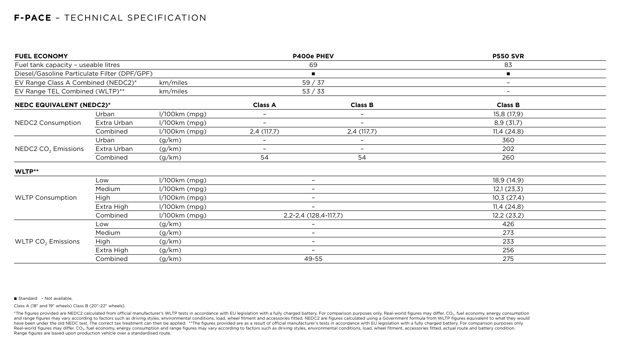| <b>FUEL ECONOMY</b>                                                                                                             |             |                 | P400e PHEV               |                           | <b>P550 SVR</b>   |  |
|---------------------------------------------------------------------------------------------------------------------------------|-------------|-----------------|--------------------------|---------------------------|-------------------|--|
| Fuel tank capacity - useable litres<br>Diesel/Gasoline Particulate Filter (DPF/GPF)                                             |             |                 | 69                       | 83                        |                   |  |
|                                                                                                                                 |             |                 |                          | $\blacksquare$            |                   |  |
|                                                                                                                                 |             | km/miles        |                          | 59/37                     | $-$               |  |
|                                                                                                                                 |             | km/miles        |                          | 53 / 33                   | $\qquad \qquad -$ |  |
|                                                                                                                                 |             |                 | <b>Class A</b>           | <b>Class B</b>            | <b>Class B</b>    |  |
|                                                                                                                                 | Urban       | $1/100km$ (mpg) |                          | $-$                       | 15,8 (17,9)       |  |
| <b>NEDC2 Consumption</b>                                                                                                        | Extra Urban | $1/100km$ (mpg) |                          | $\overline{\phantom{0}}$  | 8,9(31,7)         |  |
|                                                                                                                                 | Combined    | $1/100km$ (mpg) | 2,4(117,7)               | 2,4(117,7)                | 11,4(24,8)        |  |
|                                                                                                                                 | Urban       | (g/km)          |                          | $-$                       | 360               |  |
| NEDC2 CO <sub>2</sub> Emissions                                                                                                 | Extra Urban | (g/km)          | $\overline{\phantom{a}}$ | $-$                       | 202               |  |
|                                                                                                                                 | Combined    | (g/km)          | 54                       | 54                        | 260               |  |
| WLTP**                                                                                                                          |             |                 |                          |                           |                   |  |
|                                                                                                                                 | Low         | $1/100km$ (mpg) |                          | $-$                       | 18,9(14,9)        |  |
|                                                                                                                                 | Medium      | $1/100km$ (mpg) |                          |                           | 12,1(23,3)        |  |
| <b>WLTP Consumption</b>                                                                                                         | High        | $1/100km$ (mpg) |                          | $\qquad \qquad -$         | 10,3(27,4)        |  |
|                                                                                                                                 | Extra High  | $1/100km$ (mpg) |                          |                           | 11,4(24,8)        |  |
|                                                                                                                                 | Combined    | $1/100km$ (mpg) |                          | 2, 2-2, 4 (128, 4-117, 7) | 12,2(23,2)        |  |
|                                                                                                                                 | Low         | (g/km)          |                          |                           | 426               |  |
|                                                                                                                                 | Medium      | (g/km)          |                          |                           | 273               |  |
| EV Range Class A Combined (NEDC2)*<br>EV Range TEL Combined (WLTP)**<br><b>NEDC EQUIVALENT (NEDC2)*</b><br>WLTP $CO2$ Emissions | High        | (g/km)          |                          | $\qquad \qquad -$         | 233               |  |
|                                                                                                                                 | Extra High  | (g/km)          |                          | $\qquad \qquad -$         | 256               |  |
|                                                                                                                                 | Combined    | (g/km)          |                          | 49-55                     | 275               |  |

■ Standard - Not available.

Class A (18" and 19" wheels) Class B (20"-22" wheels).

\*The figures provided are NEDC2 calculated from official manufacturer's WLTP tests in accordance with EU legislation with a fully charged battery. For comparison purposes only. Real-world figures may differ. CO<sub>2</sub>, fuel ec and range figures may vary according to factors such as driving styles, environmental conditions, load, wheel fitment and accessories fitted. NEDC2 are figures calculated using a Government formula from WLTP figures equiva have been under the old NEDC test. The correct tax treatment can then be applied. \*\*The figures provided are as a result of official manufacturer's tests in accordance with EU legislation with a fully charged battery. For Real-world figures may differ. CO<sub>2</sub>, fuel economy, energy consumption and range figures may vary according to factors such as driving styles, environmental conditions, load, wheel fitment, accessories fitted, actual route Range figures are based upon production vehicle over a standardised route.